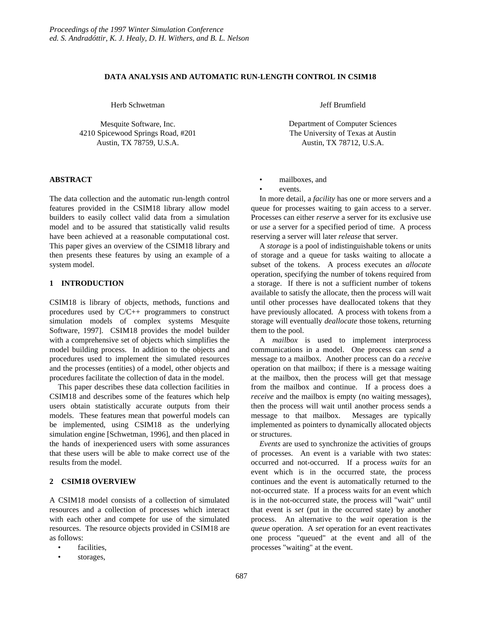## **DATA ANALYSIS AND AUTOMATIC RUN-LENGTH CONTROL IN CSIM18**

Herb Schwetman

Mesquite Software, Inc. 4210 Spicewood Springs Road, #201 Austin, TX 78759, U.S.A.

#### **ABSTRACT**

The data collection and the automatic run-length control features provided in the CSIM18 library allow model builders to easily collect valid data from a simulation model and to be assured that statistically valid results have been achieved at a reasonable computational cost. This paper gives an overview of the CSIM18 library and then presents these features by using an example of a system model.

#### **1 INTRODUCTION**

CSIM18 is library of objects, methods, functions and procedures used by C/C++ programmers to construct simulation models of complex systems Mesquite Software, 1997]. CSIM18 provides the model builder with a comprehensive set of objects which simplifies the model building process. In addition to the objects and procedures used to implement the simulated resources and the processes (entities) of a model, other objects and procedures facilitate the collection of data in the model.

This paper describes these data collection facilities in CSIM18 and describes some of the features which help users obtain statistically accurate outputs from their models. These features mean that powerful models can be implemented, using CSIM18 as the underlying simulation engine [Schwetman, 1996], and then placed in the hands of inexperienced users with some assurances that these users will be able to make correct use of the results from the model.

#### **2 CSIM18 OVERVIEW**

A CSIM18 model consists of a collection of simulated resources and a collection of processes which interact with each other and compete for use of the simulated resources. The resource objects provided in CSIM18 are as follows:

- facilities.
- storages,

Jeff Brumfield

Department of Computer Sciences The University of Texas at Austin Austin, TX 78712, U.S.A.

- mailboxes, and
- events.

In more detail, a *facility* has one or more servers and a queue for processes waiting to gain access to a server. Processes can either *reserve* a server for its exclusive use or *use* a server for a specified period of time. A process reserving a server will later *release* that server.

A *storage* is a pool of indistinguishable tokens or units of storage and a queue for tasks waiting to allocate a subset of the tokens. A process executes an *allocate* operation, specifying the number of tokens required from a storage. If there is not a sufficient number of tokens available to satisfy the allocate, then the process will wait until other processes have deallocated tokens that they have previously allocated. A process with tokens from a storage will eventually *deallocate* those tokens, returning them to the pool.

A *mailbox* is used to implement interprocess communications in a model. One process can *send* a message to a mailbox. Another process can do a *receive* operation on that mailbox; if there is a message waiting at the mailbox, then the process will get that message from the mailbox and continue. If a process does a *receive* and the mailbox is empty (no waiting messages), then the process will wait until another process sends a message to that mailbox. Messages are typically implemented as pointers to dynamically allocated objects or structures.

*Events* are used to synchronize the activities of groups of processes. An event is a variable with two states: occurred and not-occurred. If a process *waits* for an event which is in the occurred state, the process continues and the event is automatically returned to the not-occurred state. If a process waits for an event which is in the not-occurred state, the process will "wait" until that event is *set* (put in the occurred state) by another process. An alternative to the *wait* operation is the *queue* operation. A *set* operation for an event reactivates one process "queued" at the event and all of the processes "waiting" at the event.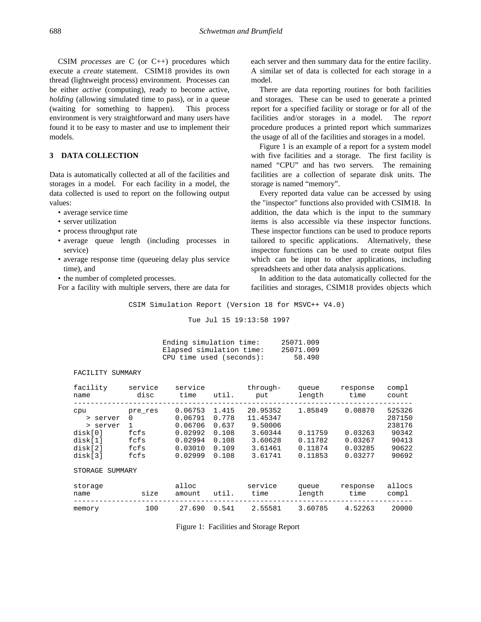CSIM *processes* are C (or C++) procedures which execute a *create* statement. CSIM18 provides its own thread (lightweight process) environment. Processes can be either *active* (computing), ready to become active, *holding* (allowing simulated time to pass), or in a queue (waiting for something to happen). This process environment is very straightforward and many users have found it to be easy to master and use to implement their models.

## **3 DATA COLLECTION**

Data is automatically collected at all of the facilities and storages in a model. For each facility in a model, the data collected is used to report on the following output values:

- average service time
- server utilization
- process throughput rate
- average queue length (including processes in service)
- average response time (queueing delay plus service time), and
- the number of completed processes.

For a facility with multiple servers, there are data for

each server and then summary data for the entire facility. A similar set of data is collected for each storage in a model.

There are data reporting routines for both facilities and storages. These can be used to generate a printed report for a specified facility or storage or for all of the facilities and/or storages in a model. The *report* procedure produces a printed report which summarizes the usage of all of the facilities and storages in a model.

Figure 1 is an example of a report for a system model with five facilities and a storage. The first facility is named "CPU" and has two servers. The remaining facilities are a collection of separate disk units. The storage is named "memory".

Every reported data value can be accessed by using the "inspector" functions also provided with CSIM18. In addition, the data which is the input to the summary items is also accessible via these inspector functions. These inspector functions can be used to produce reports tailored to specific applications. Alternatively, these inspector functions can be used to create output files which can be input to other applications, including spreadsheets and other data analysis applications.

In addition to the data automatically collected for the facilities and storages, CSIM18 provides objects which

CSIM Simulation Report (Version 18 for MSVC++ V4.0)

Tue Jul 15 19:13:58 1997

| Ending simulation time:  | 25071.009 |
|--------------------------|-----------|
| Elapsed simulation time: | 25071.009 |
| CPU time used (seconds): | 58.490    |

| facility<br>name                         | service<br>disc              | service<br>time                          | util.                            | through-<br>put                            | queue<br>length               | response<br>time              | comp1<br>count                      |
|------------------------------------------|------------------------------|------------------------------------------|----------------------------------|--------------------------------------------|-------------------------------|-------------------------------|-------------------------------------|
| cpu<br>> server<br>> server              | pre res<br>$\Omega$<br>1     | 0.06753<br>0.06791<br>0.06706<br>0.02992 | 1.415<br>0.778<br>0.637<br>0.108 | 20.95352<br>11.45347<br>9.50006<br>3.60344 | 1.85849<br>0.11759            | 0.08870<br>0.03263            | 525326<br>287150<br>238176<br>90342 |
| disk[0]<br>disk[1]<br>disk[2]<br>disk[3] | fcfs<br>fcfs<br>fcfs<br>fcfs | 0.02994<br>0.03010<br>0.02999            | 0.108<br>0.109<br>0.108          | 3.60628<br>3.61461<br>3.61741              | 0.11782<br>0.11874<br>0.11853 | 0.03267<br>0.03285<br>0.03277 | 90413<br>90622<br>90692             |
| SUMMARY<br>STORAGE                       |                              |                                          |                                  |                                            |                               |                               |                                     |
| storage<br>name                          | size                         | alloc<br>amount                          | util.                            | service<br>time                            | queue<br>length               | response<br>time              | allocs<br>compl                     |
| memory                                   | 100                          | 27.690                                   | 0.541                            | 2.55581                                    | 3.60785                       | 4.52263                       | 20000                               |

FACILITY SUMMARY

Figure 1: Facilities and Storage Report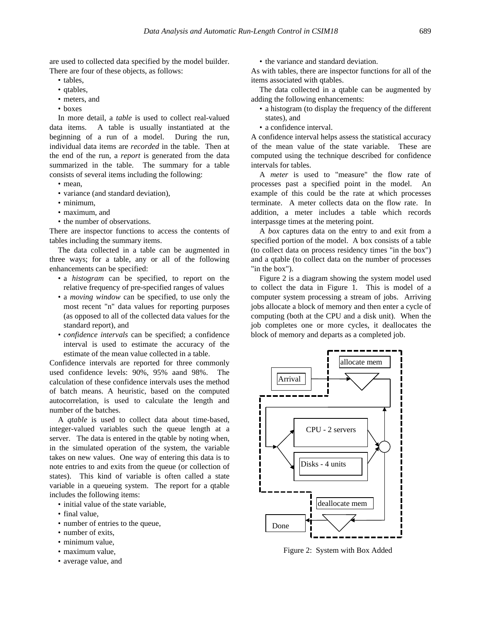are used to collected data specified by the model builder. There are four of these objects, as follows:

- tables,
- qtables,
- meters, and
- boxes

In more detail, a *table* is used to collect real-valued data items. A table is usually instantiated at the beginning of a run of a model. During the run, individual data items are *recorded* in the table. Then at the end of the run, a *report* is generated from the data summarized in the table. The summary for a table consists of several items including the following:

- mean,
- variance (and standard deviation),
- minimum,
- maximum, and
- the number of observations.

There are inspector functions to access the contents of tables including the summary items.

The data collected in a table can be augmented in three ways; for a table, any or all of the following enhancements can be specified:

- a *histogram* can be specified, to report on the relative frequency of pre-specified ranges of values
- a *moving window* can be specified, to use only the most recent "n" data values for reporting purposes (as opposed to all of the collected data values for the standard report), and
- *• confidence intervals* can be specified; a confidence interval is used to estimate the accuracy of the estimate of the mean value collected in a table.

Confidence intervals are reported for three commonly used confidence levels: 90%, 95% aand 98%. The calculation of these confidence intervals uses the method of batch means. A heuristic, based on the computed autocorrelation, is used to calculate the length and number of the batches.

A *qtable* is used to collect data about time-based, integer-valued variables such the queue length at a server. The data is entered in the qtable by noting when, in the simulated operation of the system, the variable takes on new values. One way of entering this data is to note entries to and exits from the queue (or collection of states). This kind of variable is often called a state variable in a queueing system. The report for a qtable includes the following items:

- initial value of the state variable,
- final value,
- number of entries to the queue,
- number of exits,
- minimum value,
- maximum value,
- average value, and

• the variance and standard deviation.

As with tables, there are inspector functions for all of the items associated with qtables.

The data collected in a qtable can be augmented by adding the following enhancements:

- a histogram (to display the frequency of the different states), and
- a confidence interval.

A confidence interval helps assess the statistical accuracy of the mean value of the state variable. These are computed using the technique described for confidence intervals for tables.

A *meter* is used to "measure" the flow rate of processes past a specified point in the model. An example of this could be the rate at which processes terminate. A meter collects data on the flow rate. In addition, a meter includes a table which records interpassge times at the metering point.

A *box* captures data on the entry to and exit from a specified portion of the model. A box consists of a table (to collect data on process residency times "in the box") and a qtable (to collect data on the number of processes "in the box").

Figure 2 is a diagram showing the system model used to collect the data in Figure 1. This is model of a computer system processing a stream of jobs. Arriving jobs allocate a block of memory and then enter a cycle of computing (both at the CPU and a disk unit). When the job completes one or more cycles, it deallocates the block of memory and departs as a completed job.



Figure 2: System with Box Added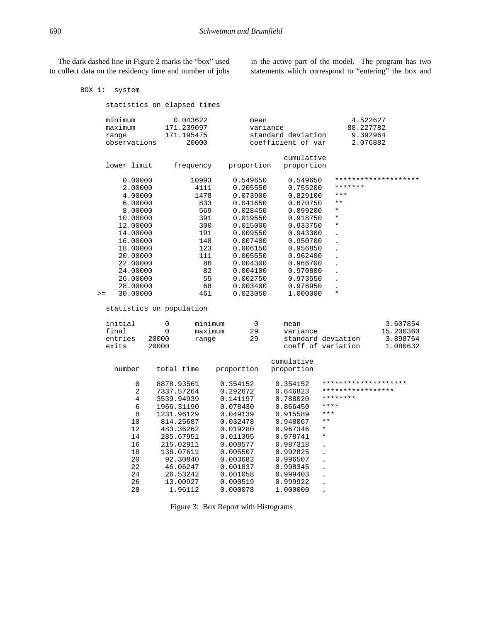The dark dashed line in Figure 2 marks the "box" used to collect data on the residency time and number of jobs in the active part of the model. The program has two statements which correspond to "entering" the box and

BOX 1: system

statistics on elapsed times

|      | minimum      | 0.043622   | mean       |                    | 4.522627             |
|------|--------------|------------|------------|--------------------|----------------------|
|      | maximum      | 171.239097 | variance   |                    | 88.227782            |
|      | range        | 171.195475 |            | standard deviation | 9.392964             |
|      | observations | 20000      |            | coefficient of var | 2.076882             |
|      |              |            |            |                    |                      |
|      |              |            |            | cumulative         |                      |
|      | lower limit  | frequency  | proportion | proportion         |                      |
|      |              |            |            |                    |                      |
|      | 0.00000      | 10993      | 0.549650   | 0.549650           | ******************** |
|      | 2.00000      | 4111       | 0.205550   | 0.755200           | *******              |
|      | 4.00000      | 1478       | 0.073900   | 0.829100           | $***$                |
|      | 6.00000      | 833        | 0.041650   | 0.870750           | $\star\star$         |
|      | 8,00000      | 569        | 0.028450   | 0.899200           | $^\star$             |
|      | 10.00000     | 391        | 0.019550   | 0.918750           | $^\star$             |
|      | 12.00000     | 300        | 0.015000   | 0.933750           | $^\star$             |
|      | 14.00000     | 191        | 0.009550   | 0.943300           | $\ddot{\phantom{a}}$ |
|      | 16.00000     | 148        | 0.007400   | 0.950700           | $\ddot{\phantom{a}}$ |
|      | 18,00000     | 123        | 0.006150   | 0.956850           |                      |
|      | 20.00000     | 111        | 0.005550   | 0.962400           |                      |
|      | 22.00000     | 86         | 0.004300   | 0.966700           | $\ddot{\phantom{a}}$ |
|      | 24.00000     | 82         | 0.004100   | 0.970800           | $\ddot{\phantom{0}}$ |
|      | 26.00000     | 55         | 0.002750   | 0.973550           | $\ddot{\phantom{0}}$ |
|      | 28.00000     | 68         | 0.003400   | 0.976950           |                      |
| $>=$ | 30.00000     | 461        | 0.023050   | 1.000000           | $^\star$             |
|      |              |            |            |                    |                      |

statistics on population

| initial<br>final | 0<br>$\Omega$ | minimum<br>maximum |            | $\Omega$<br>29 | mean<br>variance |                    | 3.607854<br>15.200360 |
|------------------|---------------|--------------------|------------|----------------|------------------|--------------------|-----------------------|
| entries          | 20000         | range              |            | 29             |                  | standard deviation | 3.898764              |
| exits            | 20000         |                    |            |                |                  |                    |                       |
|                  |               |                    |            |                |                  | coeff of variation | 1.080632              |
|                  |               |                    |            |                | cumulative       |                    |                       |
| number           | total time    |                    | proportion |                | proportion       |                    |                       |
|                  |               |                    |            |                |                  |                    |                       |
| $\mathbf 0$      | 8878.93561    |                    | 0.354152   |                | 0.354152         |                    | ********************  |
| $\overline{a}$   | 7337.57264    |                    | 0.292672   |                | 0.646823         | *****************  |                       |
| $\overline{4}$   | 3539.94939    |                    | 0.141197   |                | 0.788020         | ********           |                       |
| 6                | 1966.31190    |                    | 0.078430   |                | 0.866450         | ****               |                       |
| 8                | 1231.96129    |                    | 0.049139   |                | 0.915589         | $***$              |                       |
| 10               | 814.25687     |                    | 0.032478   |                | 0.948067         | $\star\star$       |                       |
| 12               | 483.36262     |                    | 0.019280   |                | 0.967346         | $^\star$           |                       |
| 14               | 285.67951     |                    | 0.011395   |                | 0.978741         | $^\star$           |                       |
| 16               | 215.02911     |                    | 0.008577   |                | 0.987318         |                    |                       |
| 18               | 138.07611     |                    | 0.005507   |                | 0.992825         |                    |                       |
| 20               | 92.30840      |                    | 0.003682   |                | 0.996507         |                    |                       |
| 22               | 46.06247      |                    | 0.001837   |                | 0.998345         |                    |                       |
| 24               | 26.53242      |                    | 0.001058   |                | 0.999403         |                    |                       |
| 26               | 13.00927      |                    | 0.000519   |                | 0.999922         |                    |                       |
| 28               | 1.96112       |                    | 0.000078   |                | 1.000000         |                    |                       |

Figure 3: Box Report with Histograms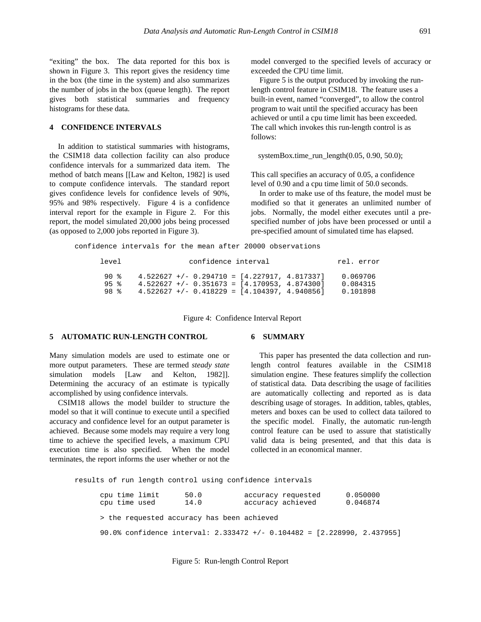"exiting" the box. The data reported for this box is shown in Figure 3. This report gives the residency time in the box (the time in the system) and also summarizes the number of jobs in the box (queue length). The report gives both statistical summaries and frequency histograms for these data.

## **4 CONFIDENCE INTERVALS**

In addition to statistical summaries with histograms, the CSIM18 data collection facility can also produce confidence intervals for a summarized data item. The method of batch means [[Law and Kelton, 1982] is used to compute confidence intervals. The standard report gives confidence levels for confidence levels of 90%, 95% and 98% respectively. Figure 4 is a confidence interval report for the example in Figure 2. For this report, the model simulated 20,000 jobs being processed (as opposed to 2,000 jobs reported in Figure 3).

model converged to the specified levels of accuracy or exceeded the CPU time limit.

Figure 5 is the output produced by invoking the runlength control feature in CSIM18. The feature uses a built-in event, named "converged", to allow the control program to wait until the specified accuracy has been achieved or until a cpu time limit has been exceeded. The call which invokes this run-length control is as follows:

systemBox.time\_run\_length(0.05, 0.90, 50.0);

This call specifies an accuracy of 0.05, a confidence level of 0.90 and a cpu time limit of 50.0 seconds.

In order to make use of ths feature, the model must be modified so that it generates an unlimited number of jobs. Normally, the model either executes until a prespecified number of jobs have been processed or until a pre-specified amount of simulated time has elapsed.

confidence intervals for the mean after 20000 observations

| level | confidence interval                            | rel. error |
|-------|------------------------------------------------|------------|
| 9 ∩ ≳ | $4.522627$ +/- 0.294710 = [4.227917, 4.817337] | 0.069706   |
| 95 %  | $4.522627$ +/- 0.351673 = [4.170953, 4.874300] | 0.084315   |
| 98 %  | $4.522627$ +/- 0.418229 = [4.104397, 4.940856] | 0.101898   |

Figure 4: Confidence Interval Report

## **5 AUTOMATIC RUN-LENGTH CONTROL**

Many simulation models are used to estimate one or more output parameters. These are termed *steady state* simulation models [Law and Kelton, 1982]]. Determining the accuracy of an estimate is typically accomplished by using confidence intervals.

CSIM18 allows the model builder to structure the model so that it will continue to execute until a specified accuracy and confidence level for an output parameter is achieved. Because some models may require a very long time to achieve the specified levels, a maximum CPU execution time is also specified. When the model terminates, the report informs the user whether or not the

## **6 SUMMARY**

This paper has presented the data collection and runlength control features available in the CSIM18 simulation engine. These features simplify the collection of statistical data. Data describing the usage of facilities are automatically collecting and reported as is data describing usage of storages. In addition, tables, qtables, meters and boxes can be used to collect data tailored to the specific model. Finally, the automatic run-length control feature can be used to assure that statistically valid data is being presented, and that this data is collected in an economical manner.

results of run length control using confidence intervals

| cpu time limit<br>cpu time used            | 50.0<br>14.0 | accuracy requested<br>accuracy achieved                                   | 0.050000<br>0.046874 |
|--------------------------------------------|--------------|---------------------------------------------------------------------------|----------------------|
| > the requested accuracy has been achieved |              |                                                                           |                      |
|                                            |              | 90.0% confidence interval: $2.333472 + (-0.104482 = [2.228990, 2.437955]$ |                      |

Figure 5: Run-length Control Report